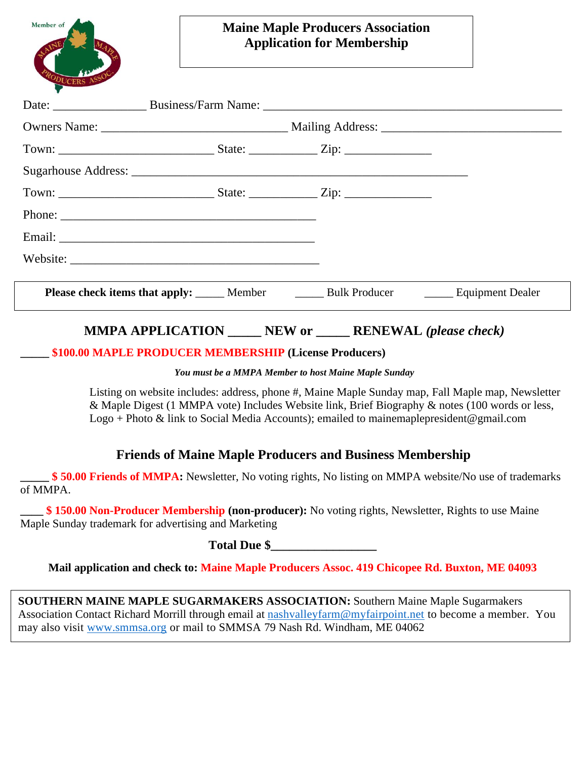| Member of | <b>Maine Maple Producers Association</b><br><b>Application for Membership</b><br>the control of the control of the control of the control of the control of the control of the control of the control of the control of the control of the control of the control of the control of the control of the control |  |
|-----------|----------------------------------------------------------------------------------------------------------------------------------------------------------------------------------------------------------------------------------------------------------------------------------------------------------------|--|
|           |                                                                                                                                                                                                                                                                                                                |  |
|           |                                                                                                                                                                                                                                                                                                                |  |
|           |                                                                                                                                                                                                                                                                                                                |  |
|           |                                                                                                                                                                                                                                                                                                                |  |
|           |                                                                                                                                                                                                                                                                                                                |  |
|           |                                                                                                                                                                                                                                                                                                                |  |
|           |                                                                                                                                                                                                                                                                                                                |  |
|           |                                                                                                                                                                                                                                                                                                                |  |
|           | <b>Please check items that apply:</b> Member Member Bulk Producer Manual Equipment Dealer                                                                                                                                                                                                                      |  |
|           | <b>MMPA APPLICATION _____ NEW or _____ RENEWAL (please check)</b>                                                                                                                                                                                                                                              |  |

#### **\_\_\_\_\_ \$100.00 MAPLE PRODUCER MEMBERSHIP (License Producers)**

#### *You must be a MMPA Member to host Maine Maple Sunday*

Listing on website includes: address, phone #, Maine Maple Sunday map, Fall Maple map, Newsletter & Maple Digest (1 MMPA vote) Includes Website link, Brief Biography & notes (100 words or less, Logo + Photo & link to Social Media Accounts); emailed to mainemaplepresident@gmail.com

### **Friends of Maine Maple Producers and Business Membership**

**\_\_\_\_\_ \$ 50.00 Friends of MMPA:** Newsletter, No voting rights, No listing on MMPA website/No use of trademarks of MMPA.

 $$ 150.00$  **Non-Producer Membership (non-producer):** No voting rights, Newsletter, Rights to use Maine Maple Sunday trademark for advertising and Marketing

**Total Due \$\_\_\_\_\_\_\_\_\_\_\_\_\_\_\_\_\_**

**Mail application and check to: Maine Maple Producers Assoc. 419 Chicopee Rd. Buxton, ME 04093**

**SOUTHERN MAINE MAPLE SUGARMAKERS ASSOCIATION:** Southern Maine Maple Sugarmakers Association Contact Richard Morrill through email at [nashvalleyfarm@myfairpoint.net](mailto:nashvalleyfarm@myfairpoint.net) to become a member. You may also visit [www.smmsa.org](http://www.smmsa.org/) or mail to SMMSA 79 Nash Rd. Windham, ME 04062